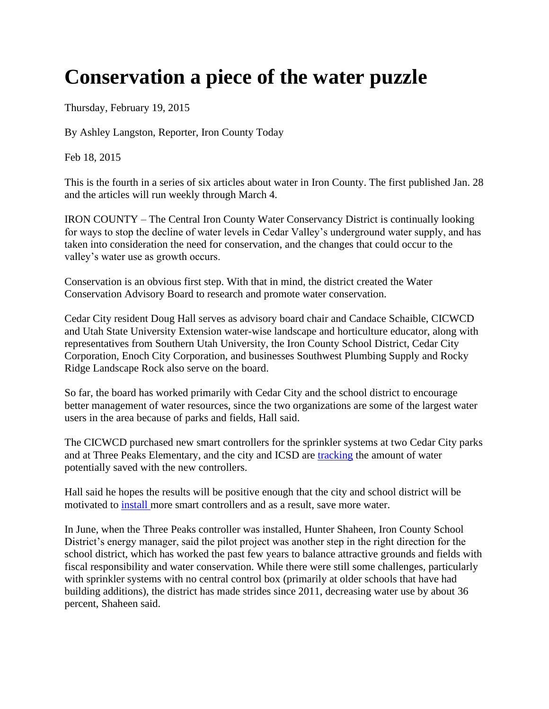## **Conservation a piece of the water puzzle**

Thursday, February 19, 2015

By Ashley Langston, Reporter, Iron County Today

Feb 18, 2015

This is the fourth in a series of six articles about water in Iron County. The first published Jan. 28 and the articles will run weekly through March 4.

IRON COUNTY – The Central Iron County Water Conservancy District is continually looking for ways to stop the decline of water levels in Cedar Valley's underground water supply, and has taken into consideration the need for conservation, and the changes that could occur to the valley's water use as growth occurs.

Conservation is an obvious first step. With that in mind, the district created the Water Conservation Advisory Board to research and promote water conservation.

Cedar City resident Doug Hall serves as advisory board chair and Candace Schaible, CICWCD and Utah State University Extension water-wise landscape and horticulture educator, along with representatives from Southern Utah University, the Iron County School District, Cedar City Corporation, Enoch City Corporation, and businesses Southwest Plumbing Supply and Rocky Ridge Landscape Rock also serve on the board.

So far, the board has worked primarily with Cedar City and the school district to encourage better management of water resources, since the two organizations are some of the largest water users in the area because of parks and fields, Hall said.

The CICWCD purchased new smart controllers for the sprinkler systems at two Cedar City parks and at Three Peaks Elementary, and the city and ICSD are [tracking](http://www.ironcountytoday.com/view/full_story/26478561/article-Conservation-a-piece-of-the-water-puzzle?instance=secondary_stories_left_column) the amount of water potentially saved with the new controllers.

Hall said he hopes the results will be positive enough that the city and school district will be motivated to [install](http://www.ironcountytoday.com/view/full_story/26478561/article-Conservation-a-piece-of-the-water-puzzle?instance=secondary_stories_left_column) more smart controllers and as a result, save more water.

In June, when the Three Peaks controller was installed, Hunter Shaheen, Iron County School District's energy manager, said the pilot project was another step in the right direction for the school district, which has worked the past few years to balance attractive grounds and fields with fiscal responsibility and water conservation. While there were still some challenges, particularly with sprinkler systems with no central control box (primarily at older schools that have had building additions), the district has made strides since 2011, decreasing water use by about 36 percent, Shaheen said.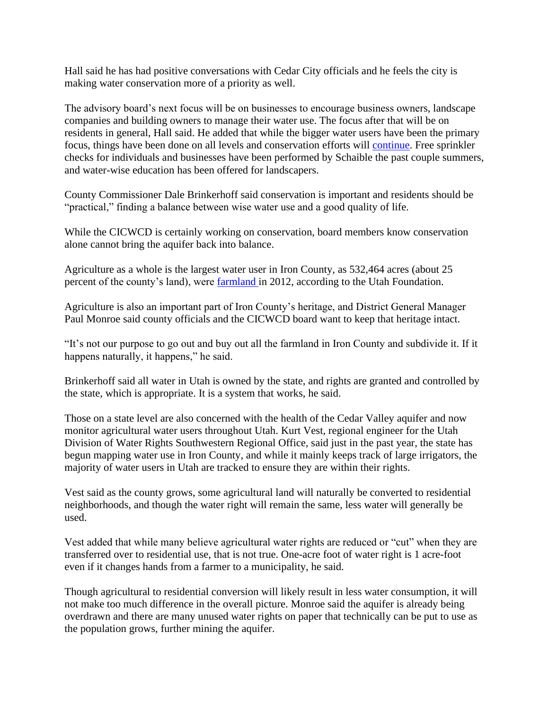Hall said he has had positive conversations with Cedar City officials and he feels the city is making water conservation more of a priority as well.

The advisory board's next focus will be on businesses to encourage business owners, landscape companies and building owners to manage their water use. The focus after that will be on residents in general, Hall said. He added that while the bigger water users have been the primary focus, things have been done on all levels and conservation efforts will [continue.](http://www.ironcountytoday.com/view/full_story/26478561/article-Conservation-a-piece-of-the-water-puzzle?instance=secondary_stories_left_column) Free sprinkler checks for individuals and businesses have been performed by Schaible the past couple summers, and water-wise education has been offered for landscapers.

County Commissioner Dale Brinkerhoff said conservation is important and residents should be "practical," finding a balance between wise water use and a good quality of life.

While the CICWCD is certainly working on conservation, board members know conservation alone cannot bring the aquifer back into balance.

Agriculture as a whole is the largest water user in Iron County, as 532,464 acres (about 25 percent of the county's land), were [farmland](http://www.ironcountytoday.com/view/full_story/26478561/article-Conservation-a-piece-of-the-water-puzzle?instance=secondary_stories_left_column) in 2012, according to the Utah Foundation.

Agriculture is also an important part of Iron County's heritage, and District General Manager Paul Monroe said county officials and the CICWCD board want to keep that heritage intact.

"It's not our purpose to go out and buy out all the farmland in Iron County and subdivide it. If it happens naturally, it happens," he said.

Brinkerhoff said all water in Utah is owned by the state, and rights are granted and controlled by the state, which is appropriate. It is a system that works, he said.

Those on a state level are also concerned with the health of the Cedar Valley aquifer and now monitor agricultural water users throughout Utah. Kurt Vest, regional engineer for the Utah Division of Water Rights Southwestern Regional Office, said just in the past year, the state has begun mapping water use in Iron County, and while it mainly keeps track of large irrigators, the majority of water users in Utah are tracked to ensure they are within their rights.

Vest said as the county grows, some agricultural land will naturally be converted to residential neighborhoods, and though the water right will remain the same, less water will generally be used.

Vest added that while many believe agricultural water rights are reduced or "cut" when they are transferred over to residential use, that is not true. One-acre foot of water right is 1 acre-foot even if it changes hands from a farmer to a municipality, he said.

Though agricultural to residential conversion will likely result in less water consumption, it will not make too much difference in the overall picture. Monroe said the aquifer is already being overdrawn and there are many unused water rights on paper that technically can be put to use as the population grows, further mining the aquifer.